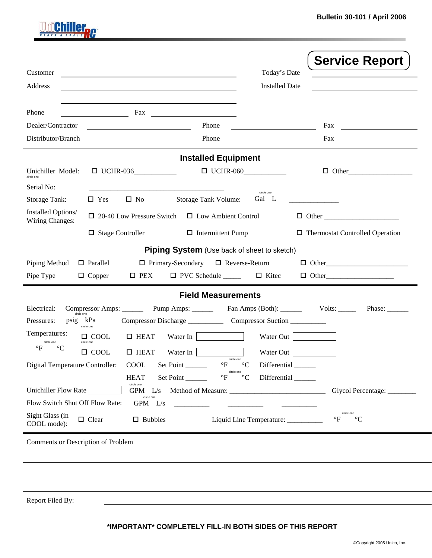$\mathcal{L}^{\text{max}}$ 

|                                                              |                                                            |                                                                    |                                 | <b>Service Report</b>                         |  |  |  |  |
|--------------------------------------------------------------|------------------------------------------------------------|--------------------------------------------------------------------|---------------------------------|-----------------------------------------------|--|--|--|--|
| Customer                                                     | <u> 1989 - Johann Barn, amerikansk politiker (d. 1989)</u> |                                                                    | Today's Date                    |                                               |  |  |  |  |
| Address                                                      |                                                            |                                                                    | <b>Installed Date</b>           |                                               |  |  |  |  |
| Phone                                                        |                                                            | Fax $\qquad \qquad \qquad$                                         |                                 |                                               |  |  |  |  |
| Dealer/Contractor                                            |                                                            | Phone                                                              |                                 | Fax                                           |  |  |  |  |
| Distributor/Branch                                           |                                                            | Phone                                                              |                                 | Fax                                           |  |  |  |  |
| <b>Installed Equipment</b>                                   |                                                            |                                                                    |                                 |                                               |  |  |  |  |
| Unichiller Model:                                            | $\Box$ UCHR-036                                            | $\Box$ UCHR-060                                                    |                                 | $\Box$ Other                                  |  |  |  |  |
| Serial No:<br><b>Storage Tank:</b>                           | $\Box$ Yes<br>$\square$ No                                 | Storage Tank Volume:                                               | circle one<br>Gal L             |                                               |  |  |  |  |
| Installed Options/<br>Wiring Changes:                        | $\Box$ 20-40 Low Pressure Switch                           | □ Low Ambient Control                                              |                                 |                                               |  |  |  |  |
|                                                              | $\Box$ Stage Controller                                    | $\Box$ Intermittent Pump                                           |                                 | $\Box$ Thermostat Controlled Operation        |  |  |  |  |
| <b>Piping System</b> (Use back of sheet to sketch)           |                                                            |                                                                    |                                 |                                               |  |  |  |  |
| Piping Method                                                | $\Box$ Parallel                                            | $\Box$ Primary-Secondary $\Box$ Reverse-Return                     |                                 | $\Box$ Other                                  |  |  |  |  |
| Pipe Type                                                    | $\square$ PEX<br>$\Box$ Copper                             | $\Box$ PVC Schedule $\Box$ $\Box$ Kitec                            |                                 | $\Box$ Other                                  |  |  |  |  |
| <b>Field Measurements</b>                                    |                                                            |                                                                    |                                 |                                               |  |  |  |  |
| Electrical:                                                  |                                                            | Compressor Amps: Pump Amps: Fan Amps (Both): Volts: Volts:         |                                 | Phase: $\frac{ }{ }$                          |  |  |  |  |
| circle one<br>psig kPa<br>Pressures:                         | circle one                                                 |                                                                    |                                 |                                               |  |  |  |  |
| Temperatures:                                                | $\Box$ HEAT<br>$\Box$ COOL                                 | Water In                                                           | Water Out                       |                                               |  |  |  |  |
| circle one<br>$\circ$ F                                      | circle one<br>$\Box$ HEAT<br>$\Box$ COOL                   | Water In                                                           | Water Out                       |                                               |  |  |  |  |
| Digital Temperature Controller:                              | COOL                                                       | circle one<br>Set Point<br>$\mathrm{P}$                            | Differential                    |                                               |  |  |  |  |
|                                                              | <b>HEAT</b>                                                | circle one<br>$^{\circ}\mathrm{F}$<br>$\rm ^{\circ}C$<br>Set Point | Differential                    |                                               |  |  |  |  |
| Unichiller Flow Rate                                         | circle one<br>$GPM$ $L/s$                                  |                                                                    |                                 | Glycol Percentage: _________                  |  |  |  |  |
| circle one<br>Flow Switch Shut Off Flow Rate:<br>$GPM$ $L/s$ |                                                            |                                                                    |                                 |                                               |  |  |  |  |
| Sight Glass (in<br>COOL mode):                               | $\Box$ Clear<br>$\Box$ Bubbles                             |                                                                    | Liquid Line Temperature: ______ | circle one<br>$\mathsf{P}$<br>$\rm ^{\circ}C$ |  |  |  |  |
| Comments or Description of Problem                           |                                                            |                                                                    |                                 |                                               |  |  |  |  |
|                                                              |                                                            |                                                                    |                                 |                                               |  |  |  |  |
|                                                              |                                                            |                                                                    |                                 |                                               |  |  |  |  |
|                                                              |                                                            |                                                                    |                                 |                                               |  |  |  |  |
| Report Filed By:                                             |                                                            |                                                                    |                                 |                                               |  |  |  |  |

**Unichiller<sub>nc</sub>** 

## **\*IMPORTANT\* COMPLETELY FILL-IN BOTH SIDES OF THIS REPORT**